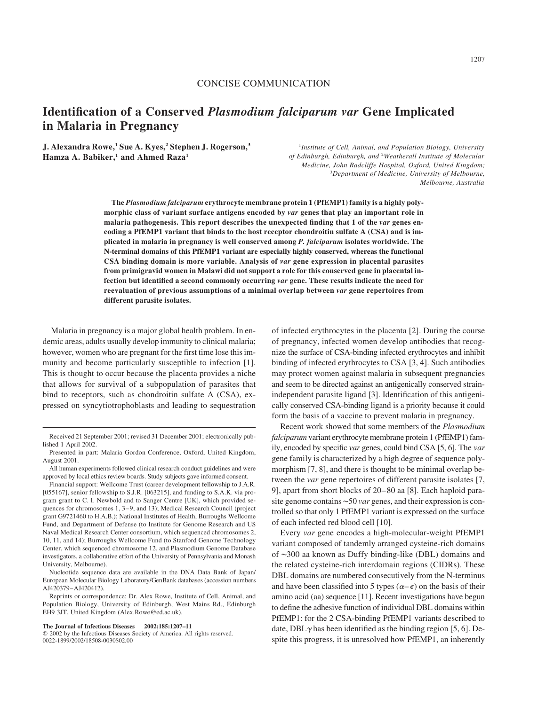## CONCISE COMMUNICATION

# Identification of a Conserved Plasmodium falciparum var Gene Implicated in Malaria in Pregnancy

J. Alexandra Rowe,<sup>1</sup> Sue A. Kyes,<sup>2</sup> Stephen J. Rogerson,<sup>3</sup> Hamza A. Babiker,<sup>1</sup> and Ahmed Raza<sup>1</sup>

<sup>1</sup>Institute of Cell, Animal, and Population Biology, University of Edinburgh, Edinburgh, and <sup>2</sup>Weatherall Institute of Molecular Medicine, John Radcliffe Hospital, Oxford, United Kingdom; <sup>3</sup>Department of Medicine, University of Melbourne, Melbourne, Australia

The Plasmodium falciparum erythrocyte membrane protein 1 (PfEMP1) family is a highly polymorphic class of variant surface antigens encoded by var genes that play an important role in malaria pathogenesis. This report describes the unexpected finding that 1 of the var genes encoding a PfEMP1 variant that binds to the host receptor chondroitin sulfate A (CSA) and is implicated in malaria in pregnancy is well conserved among P. falciparum isolates worldwide. The N-terminal domains of this PfEMP1 variant are especially highly conserved, whereas the functional CSA binding domain is more variable. Analysis of var gene expression in placental parasites from primigravid women in Malawi did not support a role for this conserved gene in placental infection but identified a second commonly occurring var gene. These results indicate the need for reevaluation of previous assumptions of a minimal overlap between var gene repertoires from different parasite isolates.

Malaria in pregnancy is a major global health problem. In endemic areas, adults usually develop immunity to clinical malaria; however, women who are pregnant for the first time lose this immunity and become particularly susceptible to infection [1]. This is thought to occur because the placenta provides a niche that allows for survival of a subpopulation of parasites that bind to receptors, such as chondroitin sulfate A (CSA), expressed on syncytiotrophoblasts and leading to sequestration

Nucleotide sequence data are available in the DNA Data Bank of Japan/ European Molecular Biology Laboratory/GenBank databases (accession numbers AJ420379–AJ420412).

Reprints or correspondence: Dr. Alex Rowe, Institute of Cell, Animal, and Population Biology, University of Edinburgh, West Mains Rd., Edinburgh EH9 3JT, United Kingdom (Alex.Rowe@ed.ac.uk).

#### The Journal of Infectious Diseases 2002;185:1207–11

of infected erythrocytes in the placenta [2]. During the course of pregnancy, infected women develop antibodies that recognize the surface of CSA-binding infected erythrocytes and inhibit binding of infected erythrocytes to CSA [3, 4]. Such antibodies may protect women against malaria in subsequent pregnancies and seem to be directed against an antigenically conserved strainindependent parasite ligand [3]. Identification of this antigenically conserved CSA-binding ligand is a priority because it could form the basis of a vaccine to prevent malaria in pregnancy.

Recent work showed that some members of the Plasmodium falciparum variant erythrocyte membrane protein 1 (PfEMP1) family, encoded by specific var genes, could bind CSA [5, 6]. The var gene family is characterized by a high degree of sequence polymorphism [7, 8], and there is thought to be minimal overlap between the var gene repertoires of different parasite isolates [7, 9], apart from short blocks of 20–80 aa [8]. Each haploid parasite genome contains  $\sim 50$  var genes, and their expression is controlled so that only 1 PfEMP1 variant is expressed on the surface of each infected red blood cell [10].

Every var gene encodes a high-molecular-weight PfEMP1 variant composed of tandemly arranged cysteine-rich domains of 300 aa known as Duffy binding-like (DBL) domains and the related cysteine-rich interdomain regions (CIDRs). These DBL domains are numbered consecutively from the N-terminus and have been classified into 5 types ( $\alpha - \epsilon$ ) on the basis of their amino acid (aa) sequence [11]. Recent investigations have begun to define the adhesive function of individual DBL domains within PfEMP1: for the 2 CSA-binding PfEMP1 variants described to date, DBL $\gamma$  has been identified as the binding region [5, 6]. Despite this progress, it is unresolved how PfEMP1, an inherently

Received 21 September 2001; revised 31 December 2001; electronically published 1 April 2002.

Presented in part: Malaria Gordon Conference, Oxford, United Kingdom, August 2001.

All human experiments followed clinical research conduct guidelines and were approved by local ethics review boards. Study subjects gave informed consent.

Financial support: Wellcome Trust (career development fellowship to J.A.R. [055167], senior fellowship to S.J.R. [063215], and funding to S.A.K. via program grant to C. I. Newbold and to Sanger Centre [UK], which provided sequences for chromosomes 1, 3–9, and 13); Medical Research Council (project grant G9721460 to H.A.B.); National Institutes of Health, Burroughs Wellcome Fund, and Department of Defense (to Institute for Genome Research and US Naval Medical Research Center consortium, which sequenced chromosomes 2, 10, 11, and 14); Burroughs Wellcome Fund (to Stanford Genome Technology Center, which sequenced chromosome 12, and Plasmodium Genome Database investigators, a collaborative effort of the University of Pennsylvania and Monash University, Melbourne).

 $©$  2002 by the Infectious Diseases Society of America. All rights reserved. 0022-1899/2002/18508-0030\$02.00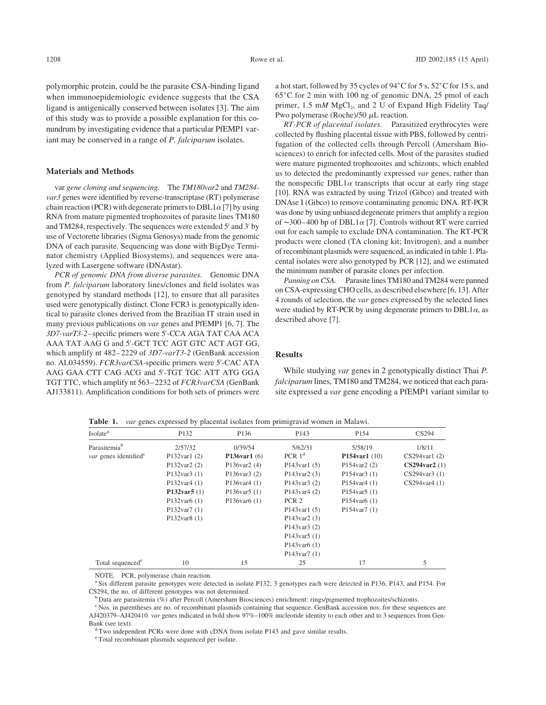polymorphic protein, could be the parasite CSA-binding ligand when immunoepidemiologic evidence suggests that the CSA ligand is antigenically conserved between isolates [3]. The aim of this study was to provide a possible explanation for this conundrum by investigating evidence that a particular PfEMP1 variant may be conserved in a range of *P. falciparum* isolates.

### Materials and Methods

var gene cloning and sequencing. The TM180var2 and TM284 var3 genes were identified by reverse-transcriptase (RT) polymerase chain reaction (PCR) with degenerate primers to DBL1 $\alpha$  [7] by using RNA from mature pigmented trophozoites of parasite lines TM180 and TM284, respectively. The sequences were extended  $5'$  and  $3'$  by use of Vectorette libraries (Sigma Genosys) made from the genomic DNA of each parasite. Sequencing was done with BigDye Terminator chemistry (Applied Biosystems), and sequences were analyzed with Lasergene software (DNAstar).

PCR of genomic DNA from diverse parasites. Genomic DNA from P. falciparum laboratory lines/clones and field isolates was genotyped by standard methods [12], to ensure that all parasites used were genotypically distinct. Clone FCR3 is genotypically identical to parasite clones derived from the Brazilian IT strain used in many previous publications on var genes and PfEMP1 [6, 7]. The 3D7-varT3-2-specific primers were 5'-CCA AGA TAT CAA ACA AAA TAT AAG G and 5'-GCT TCC AGT GTC ACT AGT GG, which amplify nt 482-2229 of 3D7-varT3-2 (GenBank accession no. AL034559). FCR3varCSA-specific primers were 5'-CAC ATA AAG GAA CTT CAG ACG and 5'-TGT TGC ATT ATG GGA TGT TTC, which amplify nt 563–2232 of FCR3varCSA (GenBank AJ133811). Amplification conditions for both sets of primers were a hot start, followed by 35 cycles of 94°C for 5 s, 52°C for 15 s, and  $65^{\circ}$ C for 2 min with 100 ng of genomic DNA, 25 pmol of each primer,  $1.5 \text{ m}M \text{ MgCl}_2$ , and  $2 \text{ U}$  of Expand High Fidelity Taq/ Pwo polymerase (Roche)/50  $\mu$ L reaction.

RT-PCR of placental isolates. Parasitized erythrocytes were collected by flushing placental tissue with PBS, followed by centrifugation of the collected cells through Percoll (Amersham Biosciences) to enrich for infected cells. Most of the parasites studied were mature pigmented trophozoites and schizonts, which enabled us to detected the predominantly expressed var genes, rather than the nonspecific DBL1 $\alpha$  transcripts that occur at early ring stage [10]. RNA was extracted by using Trizol (Gibco) and treated with DNAse I (Gibco) to remove contaminating genomic DNA. RT-PCR was done by using unbiased degenerate primers that amplify a region of  $\sim$ 300–400 bp of DBL1 $\alpha$  [7]. Controls without RT were carried out for each sample to exclude DNA contamination. The RT-PCR products were cloned (TA cloning kit; Invitrogen), and a number of recombinant plasmids were sequenced, as indicated in table 1. Placental isolates were also genotyped by PCR [12], and we estimated the minimum number of parasite clones per infection.

Panning on CSA. Parasite lines TM180 and TM284 were panned on CSA-expressing CHO cells, as described elsewhere [6, 13]. After 4 rounds of selection, the var genes expressed by the selected lines were studied by RT-PCR by using degenerate primers to  $DBL1\alpha$ , as described above [7].

#### Results

While studying var genes in 2 genotypically distinct Thai P. falciparum lines, TM180 and TM284, we noticed that each parasite expressed a var gene encoding a PfEMP1 variant similar to

| Isolate <sup>a</sup>              | P132                  | P136                 | P <sub>143</sub>                        | P154                      | CS294                 |
|-----------------------------------|-----------------------|----------------------|-----------------------------------------|---------------------------|-----------------------|
| Parasitemia <sup>b</sup>          | 2/57/32               | 0/39/54              | 5/62/31                                 | 5/58/19                   | 1/8/11                |
| var genes identified <sup>c</sup> | P $132$ var $1(2)$    | P136var1 $(6)$       | PCR $1d$                                | <b>P154var1</b> $(10)$    | $CS294$ varl $(2)$    |
|                                   | P132var2 $(2)$        | P136var2 $(4)$       | P <sub>143</sub> var <sub>1</sub> $(5)$ | P154 $\text{var}$ 2 $(2)$ | $CS294\text{var}2(1)$ |
|                                   | $P132\text{var}3(1)$  | P136var3 $(2)$       | $P143\text{var}2(3)$                    | P154var3 $(1)$            | $CS294$ var $3(1)$    |
|                                   | $P132\text{var}4(1)$  | $P136\text{var}4(1)$ | $P143\text{var}3(2)$                    | $P154$ var $4(1)$         | $CS294$ var $4(1)$    |
|                                   | P132var5 $(1)$        | P136var5 $(1)$       | $P143\text{var}4(2)$                    | P154var5 $(1)$            |                       |
|                                   | P132var $6(1)$        | P136var $6(1)$       | PCR <sub>2</sub>                        | $P154$ var $6(1)$         |                       |
|                                   | $P132\text{var}7(1)$  |                      | P <sub>143</sub> var <sub>1</sub> $(5)$ | $P154\text{var}7(1)$      |                       |
|                                   | $P132\text{var8}$ (1) |                      | $P143\text{var}2(3)$                    |                           |                       |
|                                   |                       |                      | P143var3 $(2)$                          |                           |                       |
|                                   |                       |                      | $P143\text{var}5(1)$                    |                           |                       |
|                                   |                       |                      | $P143$ var $6(1)$                       |                           |                       |
|                                   |                       |                      | P143var7 $(1)$                          |                           |                       |
| Total sequenced <sup>e</sup>      | 10                    | 15                   | 25                                      | 17                        | 5                     |

Table 1. var genes expressed by placental isolates from primigravid women in Malawi.

NOTE. PCR, polymerase chain reaction.

<sup>a</sup> Six different parasite genotypes were detected in isolate P132; 3 genotypes each were detected in P136, P143, and P154. For CS294, the no. of different genotypes was not determined.<br><sup>b</sup> Data are parasitemia (%) after Percoll (Amersham Biosciences) enrichment: rings/pigmented trophozoites/schizonts.

<sup>c</sup> Nos. in parentheses are no. of recombinant plasmids containing that sequence. GenBank accession nos. for these sequences are AJ420379–AJ420410. var genes indicated in bold show 97%–100% nucleotide identity to each other and to 3 sequences from Gen-

Bank (see text).<br><sup>d</sup> Two independent PCRs were done with cDNA from isolate P143 and gave similar results.

<sup>e</sup> Total recombinant plasmids sequenced per isolate.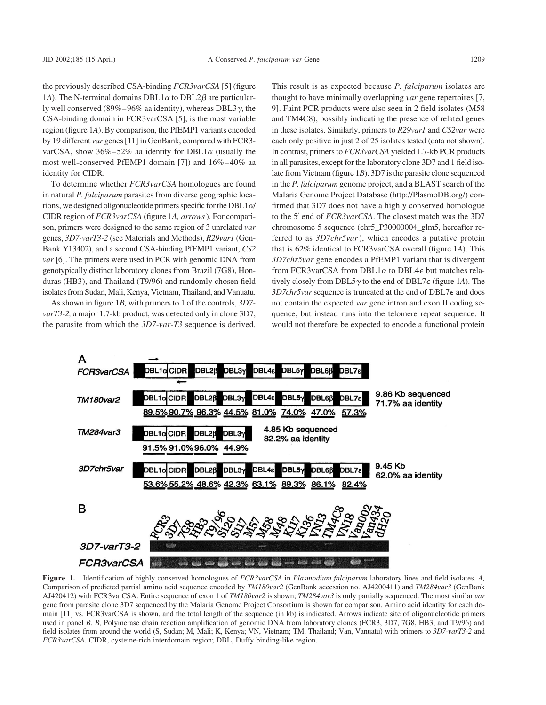the previously described CSA-binding FCR3varCSA [5] (figure 1A). The N-terminal domains DBL1 $\alpha$  to DBL2 $\beta$  are particularly well conserved (89%–96% aa identity), whereas DBL3 $\gamma$ , the CSA-binding domain in FCR3varCSA [5], is the most variable region (figure 1A). By comparison, the PfEMP1 variants encoded by 19 different var genes [11] in GenBank, compared with FCR3 varCSA, show  $36\% - 52\%$  aa identity for DBL1 $\alpha$  (usually the most well-conserved PfEMP1 domain [7]) and 16%–40% aa identity for CIDR.

To determine whether FCR3varCSA homologues are found in natural P. falciparum parasites from diverse geographic locations, we designed oligonucleotide primers specific for the DBL1 $\alpha$ / CIDR region of FCR3varCSA (figure 1A, arrows). For comparison, primers were designed to the same region of 3 unrelated var genes, 3D7-varT3-2 (see Materials and Methods), R29var1 (Gen-Bank Y13402), and a second CSA-binding PfEMP1 variant, CS2 var [6]. The primers were used in PCR with genomic DNA from genotypically distinct laboratory clones from Brazil (7G8), Honduras (HB3), and Thailand (T9/96) and randomly chosen field isolates from Sudan, Mali, Kenya, Vietnam, Thailand, and Vanuatu.

As shown in figure 1B, with primers to 1 of the controls, 3D7 varT3-2, a major 1.7-kb product, was detected only in clone 3D7, the parasite from which the 3D7-var-T3 sequence is derived.

This result is as expected because *P. falciparum* isolates are thought to have minimally overlapping var gene repertoires [7, 9]. Faint PCR products were also seen in 2 field isolates (M58 and TM4C8), possibly indicating the presence of related genes in these isolates. Similarly, primers to R29var1 and CS2var were each only positive in just 2 of 25 isolates tested (data not shown). In contrast, primers to FCR3varCSA yielded 1.7-kb PCR products in all parasites, except for the laboratory clone 3D7 and 1 field isolate from Vietnam (figure 1B). 3D7 is the parasite clone sequenced in the P. falciparum genome project, and a BLAST search of the Malaria Genome Project Database (http://PlasmoDB.org/) confirmed that 3D7 does not have a highly conserved homologue to the 5<sup>'</sup> end of *FCR3varCSA*. The closest match was the 3D7 chromosome 5 sequence (chr5\_P30000004\_glm5, hereafter referred to as  $3D7chr5var$ , which encodes a putative protein that is 62% identical to FCR3varCSA overall (figure 1A). This 3D7chr5var gene encodes a PfEMP1 variant that is divergent from FCR3varCSA from DBL1 $\alpha$  to DBL4 $\epsilon$  but matches relatively closely from DBL5 $\gamma$  to the end of DBL7 $\epsilon$  (figure 1A). The  $3D7chr5var$  sequence is truncated at the end of DBL7 $\epsilon$  and does not contain the expected var gene intron and exon II coding sequence, but instead runs into the telomere repeat sequence. It would not therefore be expected to encode a functional protein



Figure 1. Identification of highly conserved homologues of FCR3varCSA in Plasmodium falciparum laboratory lines and field isolates. A, Comparison of predicted partial amino acid sequence encoded by TM180var2 (GenBank accession no. AJ4200411) and TM284var3 (GenBank AJ420412) with FCR3varCSA. Entire sequence of exon 1 of TM180var2 is shown; TM284var3 is only partially sequenced. The most similar var gene from parasite clone 3D7 sequenced by the Malaria Genome Project Consortium is shown for comparison. Amino acid identity for each domain [11] vs. FCR3varCSA is shown, and the total length of the sequence (in kb) is indicated. Arrows indicate site of oligonucleotide primers used in panel B. B, Polymerase chain reaction amplification of genomic DNA from laboratory clones (FCR3, 3D7, 7G8, HB3, and T9/96) and field isolates from around the world (S, Sudan; M, Mali; K, Kenya; VN, Vietnam; TM, Thailand; Van, Vanuatu) with primers to 3D7-varT3-2 and FCR3varCSA. CIDR, cysteine-rich interdomain region; DBL, Duffy binding-like region.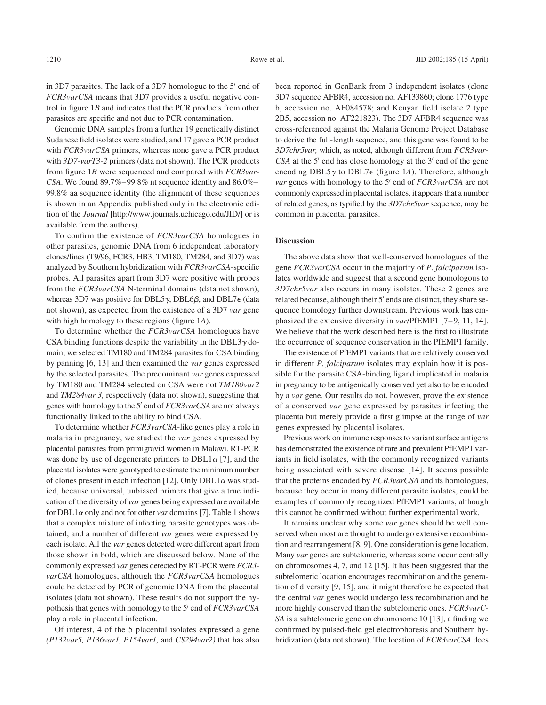in 3D7 parasites. The lack of a 3D7 homologue to the  $5'$  end of FCR3varCSA means that 3D7 provides a useful negative control in figure 1B and indicates that the PCR products from other parasites are specific and not due to PCR contamination.

Genomic DNA samples from a further 19 genetically distinct Sudanese field isolates were studied, and 17 gave a PCR product with FCR3varCSA primers, whereas none gave a PCR product with 3D7-varT3-2 primers (data not shown). The PCR products from figure 1B were sequenced and compared with FCR3var-CSA. We found 89.7%–99.8% nt sequence identity and 86.0%– 99.8% aa sequence identity (the alignment of these sequences is shown in an Appendix published only in the electronic edition of the Journal [http://www.journals.uchicago.edu/JID/] or is available from the authors).

To confirm the existence of FCR3varCSA homologues in other parasites, genomic DNA from 6 independent laboratory clones/lines (T9/96, FCR3, HB3, TM180, TM284, and 3D7) was analyzed by Southern hybridization with FCR3varCSA-specific probes. All parasites apart from 3D7 were positive with probes from the FCR3varCSA N-terminal domains (data not shown), whereas 3D7 was positive for DBL5 $\gamma$ , DBL6 $\beta$ , and DBL7 $\epsilon$  (data not shown), as expected from the existence of a 3D7 var gene with high homology to these regions (figure 1A).

To determine whether the FCR3varCSA homologues have CSA binding functions despite the variability in the DBL3 $\gamma$  domain, we selected TM180 and TM284 parasites for CSA binding by panning [6, 13] and then examined the var genes expressed by the selected parasites. The predominant var genes expressed by TM180 and TM284 selected on CSA were not TM180var2 and TM284var 3, respectively (data not shown), suggesting that genes with homology to the 5' end of FCR3varCSA are not always functionally linked to the ability to bind CSA.

To determine whether  $FCR3varCSA$ -like genes play a role in malaria in pregnancy, we studied the var genes expressed by placental parasites from primigravid women in Malawi. RT-PCR was done by use of degenerate primers to  $DBL1\alpha$  [7], and the placental isolates were genotyped to estimate the minimum number of clones present in each infection [12]. Only DBL1 $\alpha$  was studied, because universal, unbiased primers that give a true indication of the diversity of var genes being expressed are available for DBL1 $\alpha$  only and not for other var domains [7]. Table 1 shows that a complex mixture of infecting parasite genotypes was obtained, and a number of different var genes were expressed by each isolate. All the var genes detected were different apart from those shown in bold, which are discussed below. None of the commonly expressed var genes detected by RT-PCR were FCR3 varCSA homologues, although the FCR3varCSA homologues could be detected by PCR of genomic DNA from the placental isolates (data not shown). These results do not support the hypothesis that genes with homology to the 5' end of FCR3varCSA play a role in placental infection.

Of interest, 4 of the 5 placental isolates expressed a gene (P132var5, P136var1, P154var1, and CS294var2) that has also been reported in GenBank from 3 independent isolates (clone 3D7 sequence AFBR4, accession no. AF133860; clone 1776 type b, accession no. AF084578; and Kenyan field isolate 2 type 2B5, accession no. AF221823). The 3D7 AFBR4 sequence was cross-referenced against the Malaria Genome Project Database to derive the full-length sequence, and this gene was found to be 3D7chr5var, which, as noted, although different from FCR3var- $CSA$  at the 5' end has close homology at the 3' end of the gene encoding DBL5 $\gamma$  to DBL7 $\epsilon$  (figure 1A). Therefore, although *var* genes with homology to the 5<sup> $\prime$ </sup> end of *FCR3varCSA* are not commonly expressed in placental isolates, it appears that a number of related genes, as typified by the 3D7chr5var sequence, may be common in placental parasites.

## **Discussion**

The above data show that well-conserved homologues of the gene FCR3varCSA occur in the majority of P. falciparum isolates worldwide and suggest that a second gene homologous to 3D7chr5var also occurs in many isolates. These 2 genes are related because, although their  $5'$  ends are distinct, they share sequence homology further downstream. Previous work has emphasized the extensive diversity in var/PfEMP1 [7–9, 11, 14]. We believe that the work described here is the first to illustrate the occurrence of sequence conservation in the PfEMP1 family.

The existence of PfEMP1 variants that are relatively conserved in different *P. falciparum* isolates may explain how it is possible for the parasite CSA-binding ligand implicated in malaria in pregnancy to be antigenically conserved yet also to be encoded by a var gene. Our results do not, however, prove the existence of a conserved var gene expressed by parasites infecting the placenta but merely provide a first glimpse at the range of var genes expressed by placental isolates.

Previous work on immune responses to variant surface antigens has demonstrated the existence of rare and prevalent PfEMP1 variants in field isolates, with the commonly recognized variants being associated with severe disease [14]. It seems possible that the proteins encoded by FCR3varCSA and its homologues, because they occur in many different parasite isolates, could be examples of commonly recognized PfEMP1 variants, although this cannot be confirmed without further experimental work.

It remains unclear why some var genes should be well conserved when most are thought to undergo extensive recombination and rearrangement [8, 9]. One consideration is gene location. Many var genes are subtelomeric, whereas some occur centrally on chromosomes 4, 7, and 12 [15]. It has been suggested that the subtelomeric location encourages recombination and the generation of diversity [9, 15], and it might therefore be expected that the central var genes would undergo less recombination and be more highly conserved than the subtelomeric ones. FCR3varC-SA is a subtelomeric gene on chromosome 10 [13], a finding we confirmed by pulsed-field gel electrophoresis and Southern hybridization (data not shown). The location of FCR3varCSA does